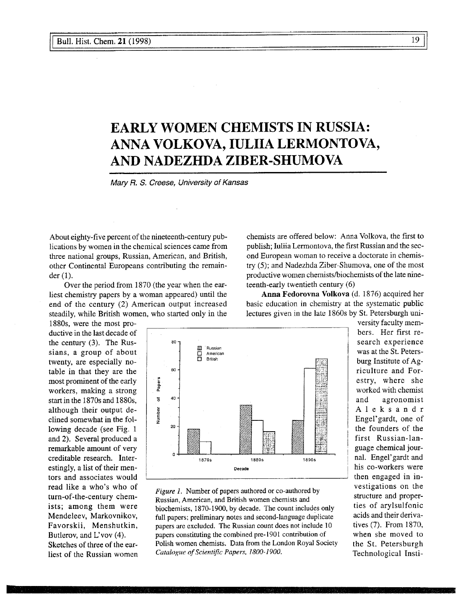# **EARLY WOMEN CHEMISTS IN RUSSIA: ANNA VOLKOVA, IULIIA LERMONTOVA, AND NADEZHDA ZIBER-SHUMOVA**

*Mary R. S. Creese, University of Kansas*

80-

ø Russian

About eighty-five percent of the nineteenth-century publications by women in the chemical sciences came from three national groups, Russian, American, and British, other Continental Europeans contributing the remainder (1).

Over the period from 1870 (the year when the earliest chemistry papers by a woman appeared) until the end of the century (2) American output increased steadily, while British women, who started only in the

1880s, were the most productive in the last decade of the century (3). The Russians, a group of about twenty, are especially notable in that they are the most prominent of the early workers, making a strong start in the 1870s and 1880s, although their output declined somewhat in the following decade (see Fig. 1 and 2). Several produced a remarkable amount of very creditable research. Interestingly, a list of their mentors and associates would read like a who's who of turn-of-the-century chemists; among them were Mendeleev, Markovnikov, Favorskii, Menshutkin, Butlerov, and L'vov (4). Sketches of three of the earliest of the Russian women chemists are offered below: Anna Volkova, the first to publish; Iuliia Lermontova, the first Russian and the second European woman to receive a doctorate in chemistry (5); and Nadezhda Ziber-Shumova, one of the most productive women chemists/biochemists of the late nineteenth-early twentieth century (6)

**Anna Fedorovna Volkova** (d. 1876) acquired her basic education in chemistry at the systematic public lectures given in the late 1860s by St. Petersburgh uni-

> burg Institute of Agriculture and Forestry, where she worked with chemist and agronomist Aleksandr Engel'gardt, one of the founders of the first Russian-language chemical journal. Engel'gardt and his co-workers were then engaged in investigations on the structure and properties of arylsulfonic acids and their derivatives (7). From I870, when she moved to the St. Petersburgh Technological Insti-

versity faculty members. Her first research experience was at the St. Peters-

 $\frac{\square}{\square}$ American British 60 Papers 5  $40^{\circ}$ Number 20 1870s **1880s 1890s** Decade *Figure 1.* Number of papers authored or co-authored by Russian, American, and British women chemists and

biochemists, 1870-1900, by decade. The count includes only full papers; preliminary notes and second-language duplicate papers are excluded. The Russian count does not include 10 papers constituting the combined pre-1901 contribution of Polish women chemists. Data from the London Royal Society *Catalogue of Scientific Papers, 1800-1900.*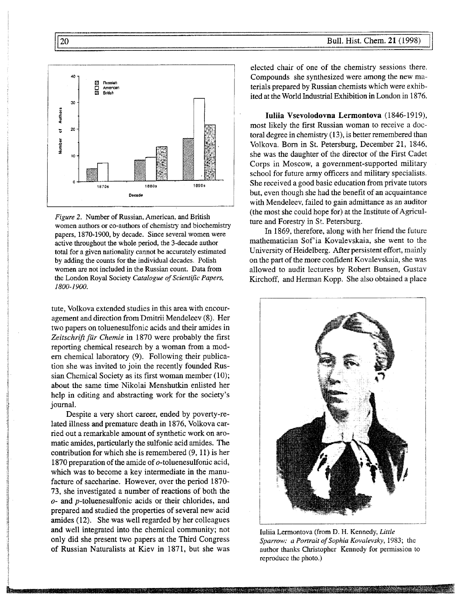

*Figure 2.* Number of Russian, American, and British women authors or co-authors of chemistry and biochemistry papers, 1870-1900, by decade. Since several women were active throughout the whole period, the 3-decade author total for a given nationality cannot be accurately estimated by adding the counts for the individual decades. Polish women are not included in the Russian count. Data from the London Royal Society *Catalogue of Scientific Papers, 1800-1900.*

tute, Volkova extended studies in this area with encouragement and direction from Dmitrii Mendeleev (8). Her two papers on toluenesulfonic acids and their amides in Zeitschrift für Chemie in 1870 were probably the first reporting chemical research by a woman from a modem chemical laboratory (9). Following their publication she was invited to join the recently founded Russian Chemical Society as its first woman member (10); about the same time Nikolai Menshutkin enlisted her help in editing and abstracting work for the society's journal.

Despite a very short career, ended by poverty-related illness and premature death in 1876, Volkova carried out a remarkable amount of synthetic work on aromatic amides, particularly the sulfonic acid amides. The contribution for which she is remembered (9, 11) is her 1870 preparation of the amide of o-toluenesulfonic acid, which was to become a key intermediate in the manufacture of saccharine. However, over the period 1870- 73, she investigated a number of reactions of both the *o-* and p-toluenesulfonic acids or their chlorides, and prepared and studied the properties of several new acid amides (12). She was well regarded by her colleagues and well integrated into the chemical community; not only did she present two papers at the Third Congress of Russian Naturalists at Kiev in 1871, but she was elected chair of one of the chemistry sessions there. Compounds she synthesized were among the new materials prepared by Russian chemists which were exhibited at the World Industrial Exhibition in London in 1876.

Iuliia Vsevolodovna Lermontova (1846-1919), most likely the first Russian woman to receive a doctoral degree in chemistry (13), is better remembered than Volkova. Born in St. Petersburg, December 21, 1846, she was the daughter of the director of the First Cadet Corps in Moscow, a government-supported military school for future army officers and military specialists. She received a good basic education from private tutors but, even though she had the benefit of an acquaintance with Mendeleev, failed to gain admittance as an auditor (the most she could hope for) at the Institute of Agriculture and Forestry in St. Petersburg.

In 1869, therefore, along with her friend the future mathematician Sof'ia Kovalevskaia, she went to the University of Heidelberg. After persistent effort, mainly on the part of the more confident Kovalevskaia, she was allowed to audit lectures by Robert Bunsen, Gustav Kirchoff, and Herman Kopp. She also obtained a place



Iuliia Lermontova (from D. H. Kennedy, *Little Sparrow: a Portrait of Sophia Kovalevsky,* 1983; the author thanks Christopher Kennedy for permission to reproduce the photo.)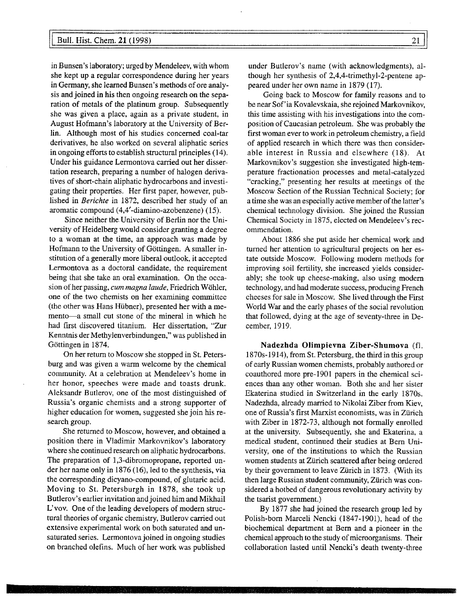#### Bull. Hist. Chem. 21 (1998) 21

in Bunsen's laboratory; urged by Mendeleev, with whom she kept up a regular correspondence during her years in Germany, she learned Bunsen's methods of ore analysis and joined in his then ongoing research on the separation of metals of the platinum group. Subsequently she was given a place, again as a private student, in August Hofmann's laboratory at the University of Berlin. Although most of his studies concerned coal-tar derivatives, he also worked on several aliphatic series in ongoing efforts to establish structural principles (14). Under his guidance Lermontova carried out her dissertation research, preparing a number of halogen derivatives of short-chain aliphatic hydrocarbons and investigating their properties. Her first paper, however, published in *Berichte* in 1872, described her study of an aromatic compound (4,4'-diamino-azobenzene) (15).

Since neither the. University of Berlin nor the University of Heidelberg would consider granting a degree to a woman at the time, an approach was made by Hofmann to the University of Göttingen. A smaller institution of a generally more liberal outlook, it accepted Lermontova as a doctoral candidate, the requirement being that she take an oral examination. On the occasion of her passing, *cum magna laude,* Friedrich Wöhler, one of the two chemists on her examining committee (the other was Hans Hübner), presented her with a memento—a small cut stone of the mineral in which he had first discovered titanium. Her dissertation, "Zur Kenntnis der Methylenverbindungen," was published in Göttingen in 1874.

On her return to Moscow she stopped in St. Petersburg and was given a warm welcome by the chemical community. At a celebration at Mendeleev's home in her honor, speeches were made and toasts drunk. Aleksandr Butlerov, one of the most distinguished of Russia's organic chemists and a strong supporter of higher education for women, suggested she join his research group.

She returned to Moscow, however, and obtained a position there in Vladimir Markovnikov's laboratory where she continued research on aliphatic hydrocarbons. The preparation of 1,3-dibromopropane, reported under her name only in 1876 (16), led to the synthesis, via the corresponding dicyano-compound, of glutaric acid. Moving to St. Petersburgh in 1878, she took up Butlerov's earlier invitation and joined him and Mikhail L' vov. One of the leading developers of modern structural theories of organic chemistry, Butlerov carried out extensive experimental work on both saturated and unsaturated series. Lermontova joined in ongoing studies on branched olefins. Much of her work was published

under Butlerov's name (with acknowledgments), although her synthesis of 2,4,4-trimethyl-2-pentene appeared under her own name in 1879 (17).

Going back to Moscow for family reasons and to be near Sof 'ia Kovalevskaia, she rejoined Markovnikov, this time assisting with his investigations into the composition of Caucasian petroleum. She was probably the first woman ever to work in petroleum chemistry, a field of applied research in which there was then considerable interest in Russia and elsewhere (18). At Markovnikov's suggestion she investigated high-temperature fractionation processes and metal-catalyzed "cracking," presenting her results at meetings of the Moscow Section of the Russian Technical Society; for a time she was an especially active member of the latter's chemical technology division. She joined the Russian Chemical Society in 1875, elected on Mendeleev's recommendation.

About 1886 she put aside her chemical work and turned her attention to agricultural projects on her estate outside Moscow. Following modern methods for improving soil fertility, she increased yields considerably; she took up cheese-making, also using modern technology, and had moderate success, producing French cheeses for sale in Moscow. She lived through the First World War and the early phases of the social revolution that followed, dying at the age of seventy-three in December, 1919.

**Nadezhda Olimpievna Ziber-Shumova** (fl. 1870s-1914), from St. Petersburg, the third in this group of early Russian women chemists, probably authored or coauthored more pre-1901 papers in the chemical sciences than any other woman. Both she and her sister Ekaterina studied in Switzerland in the early 1870s. Nadezhda, already married to Nikolai Ziber from Kiev, one of Russia's first Marxist economists, was in Zurich with Ziber in 1872-73, although not formally enrolled at the university. Subsequently, she and Ekaterina, a medical student, continued their studies at Bern University, one of the institutions to which the Russian women students at Zürich scattered after being ordered by their government to leave Zürich in 1873. (With its then large Russian student community, Zürich was considered a hotbed of dangerous revolutionary activity by the tsarist government.)

By 1877 she had joined the research group led by Polish-born Marceli Nencki (1847-1901), head of the biochemical department at Bern and a pioneer in the chemical approach to the study of microorganisms. Their collaboration lasted until Nencki's death twenty-three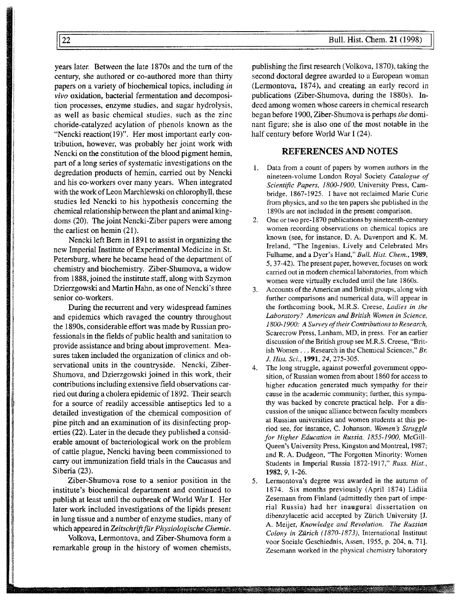years later. Between the late 1870s and the turn of the century, she authored or co-authored more than thirty papers on a variety of biochemical topics, including *in vivo* oxidation, bacterial fermentation and decomposition processes, enzyme studies, and sugar hydrolysis, as well as basic chemical studies, such as the zinc choride-catalyzed acylation of phenols known as the "Nencki reaction(19)". Her most important early contribution, however, was probably her joint work with Nencki on the constitution of the blood pigment hemin, part of a long series of systematic investigations on the degredation products of hemin, carried out by Nencki and his co-workers over many years. When integrated with the work of Leon Marchlewski on chlorophyll, these studies led Nencki to his hypothesis concerning the chemical relationship between the plant and animal kingdoms (20). The joint Nencki-Ziber papers were among the earliest on hemin (21).

Nencki left Bern in 1891 to assist in organizing the new Imperial Institute of Experimental Medicine in St. Petersburg, where he became head of the department of chemistry and biochemistry. Ziber-Shumova, a widow from 1888, joined the institute staff, along with Szymon Dzierzgowski and Martin Hahn, as one of Nencki's three senior co-workers.

During the recurrent and very widespread famines and epidemics which ravaged the country throughout the 1890s, considerable effort was made by Russian professionals in the fields of public health and sanitation to provide assistance and bring about improvement. Measures taken included the organization of clinics and observational units in the countryside. Nencki, Ziber-Shumova, and Dzierzgowski joined in this work, their contributions including extensive field observations carried out during a cholera epidemic of 1892. Their search for a source of readily accessible antiseptics led to a detailed investigation of the chemical composition of pine pitch and an examination of its disinfecting properties (22). Later in the decade they published a considerable amount of bacteriological work on the problem of cattle plague, Nencki having been commissioned to carry out immunization field trials in the Caucasus and Siberia (23).

Ziber-Shumova rose to a senior position in the institute's biochemical department and continued to publish at least until the outbreak of World War I. Her later work included investigations of the lipids present in lung tissue and a number of enzyme studies, many of which appeared in *Zeitschrift für Physiologische Chemie.*

Volkova, Lermontova, and Ziber-Shumova form a remarkable group in the history of women chemists,

en de la construit anticipat en el disportant que la participat de la construit de la construit de la construcció

publishing the first research (Volkova, 1870), taking the second doctoral degree awarded to a European woman (Lermontova, 1874), and creating an early record in publications (Ziber-Shumova, during the 1880s). Indeed among women whose careers in chemical research began before 1900, Ziber-Shumova is perhaps *the* dominant figure; she is also one of the most notable in the half century before World War I (24).

#### **REFERENCES AND NOTES**

- 1. Data from a count of papers by women authors in the nineteen-volume London Royal Society *Catalogue of Scientific Papers, 1800-1900,* University Press, Cambridge, 1867-1925. I have not reclaimed Marie Curie from physics, and so the ten papers she published in the I890s are not included in the present comparison.
- 2. One or two pre-1870 publications by nineteenth-century women recording observations on chemical topics are known (see, for instance, D. A. Davenport and K. M. Ireland, "The Ingenius, Lively and Celebrated Mrs Fulhame, and a Dyer's Hand," *Bull. Hist. Chem.,* **1989,** 5, 37-42). The present paper, however, focuses on work carried out in modern chemical laboratories, from which women were virtually excluded until the late I860s.
- 3. Accounts of the American and British groups, along with further comparisons and numerical data, will appear in the forthcoming book, M.R.S. Creese, *Ladies in the Laboratory? American and British Women in Science, 1800-1900: A Survey of their Contributions to Research,* Scarecrow Press, Lanham, MD, in press. For an earlier discussion of the British group see M.R.S. Creese, "British Women . . . Research in the Chemical Sciences," *Br. J. Hist. Sci.,* **1991,** *24,* 275-305.
- 4. The long struggle, against powerful government opposition, of Russian women from about 1860 for access to higher education generated much sympathy for their cause in the academic community; further, this sympathy was backed by concrete practical help. For a discussion of the unique alliance between faculty members at Russian universities and women students at this period see, for instance, C. Johanson, *Women's Struggle for Higher Education in Russia, 1855-1900,* McGill-Queen's University Press, Kingston and Montreal, 1987; and R. A. Dudgeon, "The Forgotten Minority: Women Students in Imperial Russia 1872-1917," *Russ. Hist.,* **1982,** *9,* 1-26.
- 5. Lermontova's degree was awarded in the autumn of 1874. Six months previously (April 1874) Lidiia Zesemann from Finland (admittedly then part of imperial Russia) had her inaugural dissertation on dibenzylacetic acid accepted by Zürich University **[J.** A. Meijer, *Knowledge and Revolution. The Russian Colony in Zürich (1870-1873),* International Instituut voor Sociale Geschiednis, Assen, 1955, p. 204, n. 71]. Zesemann worked in the physical chemistry laboratory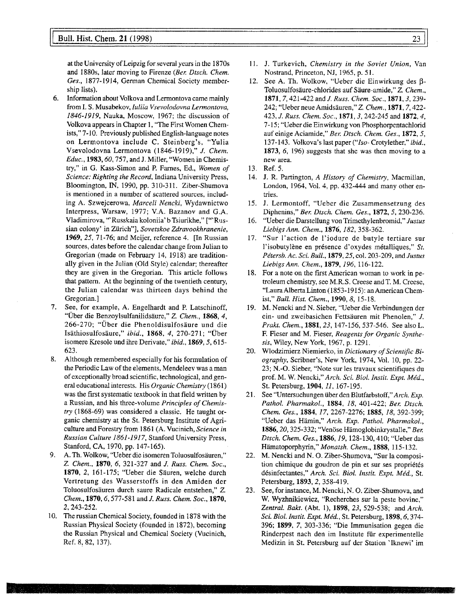#### **Bull. Hist. Chem. 21** (1998) 23

at the University of Leipzig for severa1 years in the 1870s and 1880s, later moving to Firenze *(Ber. Dtsch. Chem. Ges.,* 1877-1914, German Chemical Society membership lists).

- 6. Information about Volkova and Lermontova came mainly from 1. S. Musabekov, *luliia Vsevolodovna Lermontova, 1846-1919,* Nauka, Moscow, 1967; the discussion of Volkova appears in Chapter 1, "The First Women Chemists," 7-10. Previously published English-language notes on Lermontova include C. Steinberg's, "Yulia Vsevolodovna Lermontova (1846-1919)," *J. Chem. Educ.,* **1983,** *60,* 757, and J. Miller, "Women in Chemistry," in G. Kass-Simon and P. Fames, Ed., *Women of Science: Righting the Record,* Indiana University Press, Bloomington, IN, 1990, pp. 310-311. Ziber-Shumova is mentioned in a number of scattered sources, including A. Szwejcerowa, *Marceli Nencki,* Wydawnictwo Interpress, Warsaw, 1977; V.A. Bazanov and G.A. Vladimirova, "'Russkaia koloniia' b Tsiurikhe," ["'Russian colony' in Zurich"], *Sovetskoe Zdravookhranenie,* **1969,** *25,* 71-76; and Meijer, reference 4. [In Russian sources, dates before the calendar change from Julian to Gregorian (made on February 14, 1918) are traditionally given in the Julian (Old Style) calendar; thereafter they are given in the Gregorian. This article follows that pattern. At the beginning of the twentieth century, the Julian calendar was thirteen days behind the Gregorian.]
- 7. See, for example, A. Engelhardt and P. Latschinoff, "Über die Benzoylsulfanilidsäure," Z. *Chem.,* **1868,** *4,* 266-270; "Über die Phenoldisulfosäure und die Isäthiosulfosäure," *ibid.,* **1868,** *4,* 270-271; "Über isomere Kresole und ihre Derivate," *ibid.,* **1869,** *5,* 615- 623.
- 8. Although remembered especially for his formulation of the Periodic Law of the elements, Mendeleev was a man of exceptionally broad scientific, technological, and general educational interests. His *Organic Chemistry* (1861) was the first systematic textbook in that field written by a Russian, and his three-volume *Principles of Chemistry* (1868-69) was considered a classic. He taught organic chemistry at the St. Petersburg Institute of Agriculture and Forestry from 1861 (A. Vucinich, *Science in Russian Culture 1861-1917,* Stanford University Press, Stanford, CA, 1970, pp. 147-165).
- 9. A. Th. Wolkow, "Ueber die isomeren Toluosulfosäuren," *Z. Chem.,* **1870,** *6,* 321-327 and *J. Russ. Chem. Soc.,* **1870,** 2, 161-175; "Ueber die Säuren, welche durch Vertretung des Wasserstoffs in den Amiden der Toluosulfosäuren durch saure Radicale entstehen," Z. *Chem.,* **1870,** *6,* 577-581 and *J. Russ. Chem. Soc.,* **1870,** 2, 243-252,
- 10. The russian Chemical Society, founded in 1878 with the Russian Physical Society (founded in 1872), becoming the Russian Physica1 and Chemical Society (Vucinich, Ref. 8, 82, 137).
- 11. J. Turkevich, *Chemistry in the Soviet Union,* Van Nostrand, Princeton, NJ, I965, p. 51.
- 12. See A. Th. Wolkow, "Ueber die Einwirkung des  $\beta$ beta-Toluosulfosäure-chlorides auf Säure-amide," Z. *Chem.,* **1871,** 7, 42I-422 and *J. Russ. Chem. Soc.,* **1871,** *3,* 239- 242; "Ueber neue Amidsäuren," Z *Chem.,* **1871,** 7, 422- 423, *J. Russ. Chem. Soc.,* **1871,** *3,* 242-245 and **1872,** *4, 7-15;* "Ueber die Einwirkung von Phosphorpentachlorid auf einige Aciamide," *Ber. Dtsch. Chem. Ges.,* **1872,** *5,* 137-143. Volkova's last paper *("/so-* Crotylether," *ibid.,* **1873,** *6,* 196) suggests that she was then moving to a new area.
- 13. Ref. 5.
- 14. J. R. Partington, A *History of Chemistry,* Macmillan, London, 1964, Vol. 4, pp. 432-444 and many other entries.
- 15. J. Lermontoff, "Ueber die Zusammensetzung des Diphenins," *Ber. Dtsch. Chem. Ges.,* **1872,** *5,* 230-236.
- 16. "Ueber die Darstellung von Trimethylenbromid," *Justus Liebigs Ann. Chem.,* **1876,** *182,* 358-362.
- 17. "Sur l'action de l'iodure de butyle tertiare sur l'isobutylène en présence d'oxydes métalliques," *St. Pétersb. Ac. Sci. Bull.,* **1879,** *25,* col. 203-209, and *Justus Liebigs Ann. Chem.,* **1879,** *196,* 116-122.
- 18. For a note on the first American woman to work in petroleum chemistry, see M.R.S. Creese and T. M. Creese, "Laura Alberta Linton (1853-1915): an American Chemist," *Bull. Hist. Chem.,* **1990,** *8,* 15-18.
- 19. M. Nencki and N. Sieber, "Ueber die Verbindungen der ein- und zweibasichen Fettsäuren mit Phenolen," *J. Prakt. Chem.,* **1881,** *23,* 147-156, 537-546. See also L. F. Fieser and M. Fieser, *Reagents for Organic Synthesis,* Wiley, New York, 1967, p. 1291.
- 20. Wlodzimierz Niemierko, in *Dictionary of Scientific Biography,* Scribner's, New York, 1974, Vol. 10, pp. 22- 23; N.-O. Sieber, "Note sur les travaux scientifiques du prof. M. W. Nencki," *Arch. Sci. Biol. Instit. Expt. Med.,* St. Petersburg, **1904,** *11,* 167-195.
- 21. See "Untersuchungen über den Blutfarbstoff," Arch. Exp. *Pathol. Pharmakol.,* **1884,** *18,* 401-422; *Ber. Dtsch. Chem. Ges.,* **1884,** *17,* 2267-2276; **1885,** *18,* 392-399; "Ueber das Hämin," *Arch. Exp. Pathol. Pharmakol.,* **1886,** *20,* 325-332; "Venöse Hämoglobinkrystalle," *Ber. Dtsch. Chem. Ges.,* **1886,** *19,* 128-130, 410; "Ueber das Hämatoporphyrin," *Monatsh. Chem.,* **1888,** 115-132.
- 22. M. Nencki and N. 0. Ziber-Shumova, "Sur la composition chimique du goudron de pin et sur ses propriétés désinfectantes," *Arch. Sci. Biol. Instit. Expt. Méd.,* St. Petersburg, **1893,** *2,* 358-419.
- 23. See, for instance, M. Nencki, N. O. Ziber-Shumova, and W. Wyzhnikiewicz, "Recherches sur la peste bovine," *Zentral. Bakt.* (Abt. 1), **1898,** *23,* 529-538; and *Arch. Sci. Biol. Instit. Expt. Med.,* St. Petersburg, 1898, *6,* 374- 396; **1899,** 7, 303-336; "Die Immunisation gegen die Rinderpest nach den im Institute für experimentelle Medizin in St. Petersburg auf der Station 'Iknewi' im